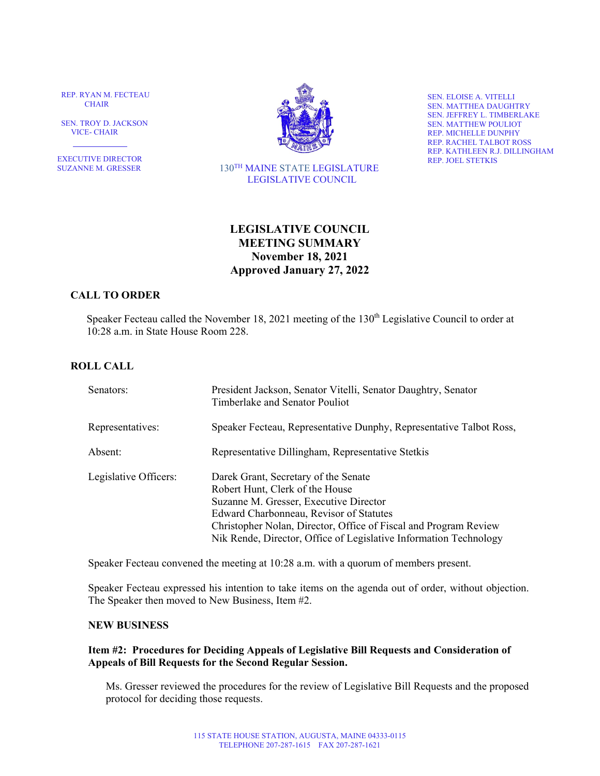REP. RYAN M. FECTEAU **CHAIR** 

 SEN. TROY D. JACKSON VICE- CHAIR

Ī EXECUTIVE DIRECTOR SUZANNE M. GRESSER



 130TH MAINE STATE LEGISLATURE LEGISLATIVE COUNCIL

SEN. ELOISE A. VITELLI SEN. MATTHEA DAUGHTRY SEN. JEFFREY L. TIMBERLAKE SEN. MATTHEW POULIOT REP. MICHELLE DUNPHY REP. RACHEL TALBOT ROSS REP. KATHLEEN R.J. DILLINGHAM REP. JOEL STETKIS

# **LEGISLATIVE COUNCIL MEETING SUMMARY November 18, 2021 Approved January 27, 2022**

# **CALL TO ORDER**

Speaker Fecteau called the November 18, 2021 meeting of the  $130<sup>th</sup>$  Legislative Council to order at 10:28 a.m. in State House Room 228.

# **ROLL CALL**

| Senators:             | President Jackson, Senator Vitelli, Senator Daughtry, Senator<br>Timberlake and Senator Pouliot                                                                                                                                                                                                       |
|-----------------------|-------------------------------------------------------------------------------------------------------------------------------------------------------------------------------------------------------------------------------------------------------------------------------------------------------|
| Representatives:      | Speaker Fecteau, Representative Dunphy, Representative Talbot Ross,                                                                                                                                                                                                                                   |
| Absent:               | Representative Dillingham, Representative Stetkis                                                                                                                                                                                                                                                     |
| Legislative Officers: | Darek Grant, Secretary of the Senate<br>Robert Hunt, Clerk of the House<br>Suzanne M. Gresser, Executive Director<br>Edward Charbonneau, Revisor of Statutes<br>Christopher Nolan, Director, Office of Fiscal and Program Review<br>Nik Rende, Director, Office of Legislative Information Technology |

Speaker Fecteau convened the meeting at 10:28 a.m. with a quorum of members present.

Speaker Fecteau expressed his intention to take items on the agenda out of order, without objection. The Speaker then moved to New Business, Item #2.

### **NEW BUSINESS**

### **Item #2: Procedures for Deciding Appeals of Legislative Bill Requests and Consideration of Appeals of Bill Requests for the Second Regular Session.**

Ms. Gresser reviewed the procedures for the review of Legislative Bill Requests and the proposed protocol for deciding those requests.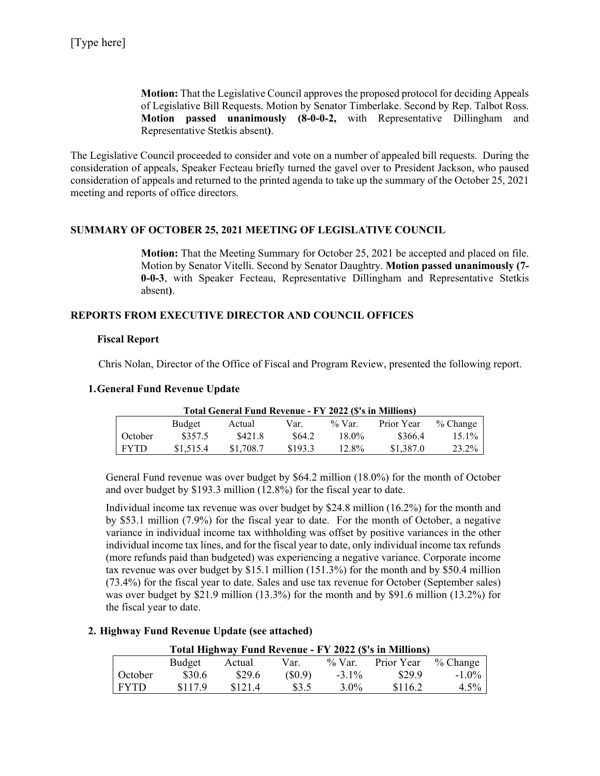**Motion:** That the Legislative Council approves the proposed protocol for deciding Appeals of Legislative Bill Requests. Motion by Senator Timberlake. Second by Rep. Talbot Ross. **Motion passed unanimously (8-0-0-2,** with Representative Dillingham and Representative Stetkis absent**)**.

The Legislative Council proceeded to consider and vote on a number of appealed bill requests. During the consideration of appeals, Speaker Fecteau briefly turned the gavel over to President Jackson, who paused consideration of appeals and returned to the printed agenda to take up the summary of the October 25, 2021 meeting and reports of office directors.

# **SUMMARY OF OCTOBER 25, 2021 MEETING OF LEGISLATIVE COUNCIL**

**Motion:** That the Meeting Summary for October 25, 2021 be accepted and placed on file. Motion by Senator Vitelli. Second by Senator Daughtry. **Motion passed unanimously (7- 0-0-3**, with Speaker Fecteau, Representative Dillingham and Representative Stetkis absent**)**.

# **REPORTS FROM EXECUTIVE DIRECTOR AND COUNCIL OFFICES**

# **Fiscal Report**

Chris Nolan, Director of the Office of Fiscal and Program Review, presented the following report.

#### **1.General Fund Revenue Update**

| Total General Fund Revenue - FY 2022 (\$'s in Millions) |           |           |         |           |            |            |  |  |  |  |
|---------------------------------------------------------|-----------|-----------|---------|-----------|------------|------------|--|--|--|--|
|                                                         | Budget    | Actual    | Var.    | $\%$ Var. | Prior Year | $%$ Change |  |  |  |  |
| October                                                 | \$357.5   | \$421.8   | \$64.2  | 18.0%     | \$366.4    | 15.1%      |  |  |  |  |
| <b>FYTD</b>                                             | \$1,515.4 | \$1,708.7 | \$193.3 | 12.8%     | \$1,387.0  | 23.2%      |  |  |  |  |

General Fund revenue was over budget by \$64.2 million (18.0%) for the month of October and over budget by \$193.3 million (12.8%) for the fiscal year to date.

Individual income tax revenue was over budget by \$24.8 million (16.2%) for the month and by \$53.1 million (7.9%) for the fiscal year to date. For the month of October, a negative variance in individual income tax withholding was offset by positive variances in the other individual income tax lines, and for the fiscal year to date, only individual income tax refunds (more refunds paid than budgeted) was experiencing a negative variance. Corporate income tax revenue was over budget by \$15.1 million (151.3%) for the month and by \$50.4 million (73.4%) for the fiscal year to date. Sales and use tax revenue for October (September sales) was over budget by \$21.9 million (13.3%) for the month and by \$91.6 million (13.2%) for the fiscal year to date.

#### **2. Highway Fund Revenue Update (see attached)**

# **Total Highway Fund Revenue - FY 2022 (\$'s in Millions)**  Budget Actual Var. % Var. Prior Year % Change October \$30.6 \$29.6 (\$0.9) -3.1% \$29.9 -1.0% FYTD \$117.9 \$121.4 \$3.5 3.0% \$116.2 4.5%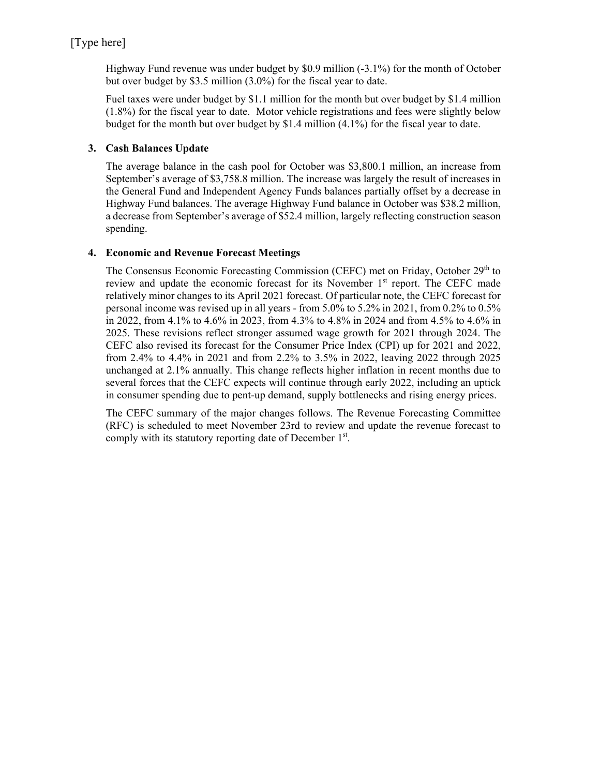# [Type here]

Highway Fund revenue was under budget by \$0.9 million (-3.1%) for the month of October but over budget by \$3.5 million (3.0%) for the fiscal year to date.

Fuel taxes were under budget by \$1.1 million for the month but over budget by \$1.4 million (1.8%) for the fiscal year to date. Motor vehicle registrations and fees were slightly below budget for the month but over budget by \$1.4 million (4.1%) for the fiscal year to date.

# **3. Cash Balances Update**

The average balance in the cash pool for October was \$3,800.1 million, an increase from September's average of \$3,758.8 million. The increase was largely the result of increases in the General Fund and Independent Agency Funds balances partially offset by a decrease in Highway Fund balances. The average Highway Fund balance in October was \$38.2 million, a decrease from September's average of \$52.4 million, largely reflecting construction season spending.

# **4. Economic and Revenue Forecast Meetings**

The Consensus Economic Forecasting Commission (CEFC) met on Friday, October 29<sup>th</sup> to review and update the economic forecast for its November 1<sup>st</sup> report. The CEFC made relatively minor changes to its April 2021 forecast. Of particular note, the CEFC forecast for personal income was revised up in all years - from 5.0% to 5.2% in 2021, from 0.2% to 0.5% in 2022, from 4.1% to 4.6% in 2023, from 4.3% to 4.8% in 2024 and from 4.5% to 4.6% in 2025. These revisions reflect stronger assumed wage growth for 2021 through 2024. The CEFC also revised its forecast for the Consumer Price Index (CPI) up for 2021 and 2022, from 2.4% to 4.4% in 2021 and from 2.2% to 3.5% in 2022, leaving 2022 through 2025 unchanged at 2.1% annually. This change reflects higher inflation in recent months due to several forces that the CEFC expects will continue through early 2022, including an uptick in consumer spending due to pent-up demand, supply bottlenecks and rising energy prices.

The CEFC summary of the major changes follows. The Revenue Forecasting Committee (RFC) is scheduled to meet November 23rd to review and update the revenue forecast to comply with its statutory reporting date of December 1<sup>st</sup>.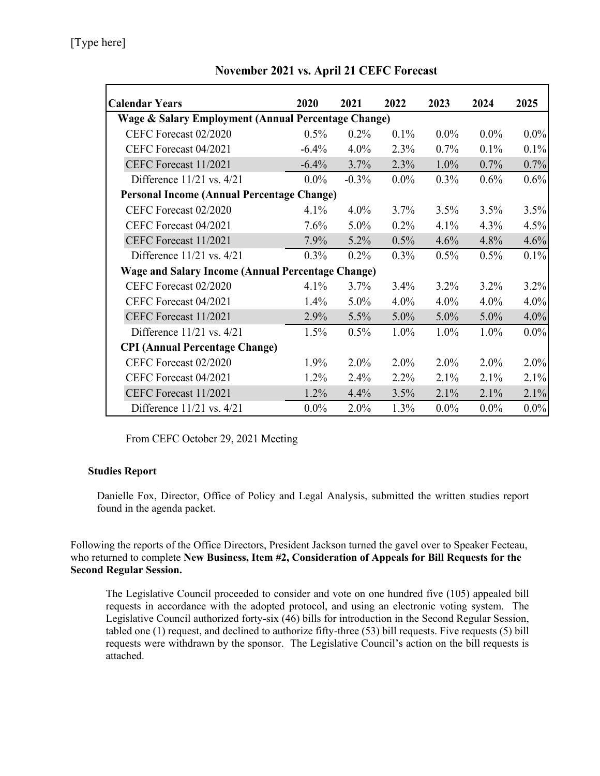| <b>Calendar Years</b>                                    | 2020     | 2021     | 2022    | 2023    | 2024    | 2025    |  |  |  |  |  |  |
|----------------------------------------------------------|----------|----------|---------|---------|---------|---------|--|--|--|--|--|--|
| Wage & Salary Employment (Annual Percentage Change)      |          |          |         |         |         |         |  |  |  |  |  |  |
| CEFC Forecast 02/2020                                    | $0.5\%$  | $0.2\%$  | $0.1\%$ | $0.0\%$ | $0.0\%$ | $0.0\%$ |  |  |  |  |  |  |
| CEFC Forecast 04/2021                                    | $-6.4\%$ | $4.0\%$  | 2.3%    | 0.7%    | $0.1\%$ | 0.1%    |  |  |  |  |  |  |
| CEFC Forecast 11/2021                                    | $-6.4\%$ | 3.7%     | 2.3%    | $1.0\%$ | 0.7%    | 0.7%    |  |  |  |  |  |  |
| Difference $11/21$ vs. $4/21$                            | $0.0\%$  | $-0.3\%$ | $0.0\%$ | 0.3%    | 0.6%    | 0.6%    |  |  |  |  |  |  |
| <b>Personal Income (Annual Percentage Change)</b>        |          |          |         |         |         |         |  |  |  |  |  |  |
| CEFC Forecast 02/2020                                    | $4.1\%$  | $4.0\%$  | 3.7%    | 3.5%    | $3.5\%$ | 3.5%    |  |  |  |  |  |  |
| CEFC Forecast 04/2021                                    | 7.6%     | $5.0\%$  | 0.2%    | 4.1%    | 4.3%    | 4.5%    |  |  |  |  |  |  |
| CEFC Forecast 11/2021                                    | 7.9%     | $5.2\%$  | $0.5\%$ | 4.6%    | 4.8%    | 4.6%    |  |  |  |  |  |  |
| Difference $11/21$ vs. $4/21$                            | $0.3\%$  | 0.2%     | 0.3%    | $0.5\%$ | $0.5\%$ | 0.1%    |  |  |  |  |  |  |
| <b>Wage and Salary Income (Annual Percentage Change)</b> |          |          |         |         |         |         |  |  |  |  |  |  |
| CEFC Forecast 02/2020                                    | $4.1\%$  | $3.7\%$  | 3.4%    | 3.2%    | $3.2\%$ | 3.2%    |  |  |  |  |  |  |
| CEFC Forecast 04/2021                                    | 1.4%     | $5.0\%$  | $4.0\%$ | $4.0\%$ | $4.0\%$ | 4.0%    |  |  |  |  |  |  |
| CEFC Forecast 11/2021                                    | 2.9%     | 5.5%     | $5.0\%$ | $5.0\%$ | 5.0%    | 4.0%    |  |  |  |  |  |  |
| Difference $11/21$ vs. $4/21$                            | 1.5%     | 0.5%     | $1.0\%$ | 1.0%    | 1.0%    | $0.0\%$ |  |  |  |  |  |  |
| <b>CPI (Annual Percentage Change)</b>                    |          |          |         |         |         |         |  |  |  |  |  |  |
| CEFC Forecast 02/2020                                    | 1.9%     | $2.0\%$  | $2.0\%$ | $2.0\%$ | 2.0%    | 2.0%    |  |  |  |  |  |  |
| CEFC Forecast 04/2021                                    | 1.2%     | 2.4%     | $2.2\%$ | 2.1%    | 2.1%    | 2.1%    |  |  |  |  |  |  |
| CEFC Forecast 11/2021                                    | 1.2%     | 4.4%     | 3.5%    | $2.1\%$ | 2.1%    | 2.1%    |  |  |  |  |  |  |
| Difference $11/21$ vs. $4/21$                            | $0.0\%$  | 2.0%     | 1.3%    | $0.0\%$ | $0.0\%$ | $0.0\%$ |  |  |  |  |  |  |

**November 2021 vs. April 21 CEFC Forecast** 

From CEFC October 29, 2021 Meeting

# **Studies Report**

Danielle Fox, Director, Office of Policy and Legal Analysis, submitted the written studies report found in the agenda packet.

Following the reports of the Office Directors, President Jackson turned the gavel over to Speaker Fecteau, who returned to complete **New Business, Item #2, Consideration of Appeals for Bill Requests for the Second Regular Session.** 

The Legislative Council proceeded to consider and vote on one hundred five (105) appealed bill requests in accordance with the adopted protocol, and using an electronic voting system. The Legislative Council authorized forty-six (46) bills for introduction in the Second Regular Session, tabled one (1) request, and declined to authorize fifty-three (53) bill requests. Five requests (5) bill requests were withdrawn by the sponsor. The Legislative Council's action on the bill requests is attached.